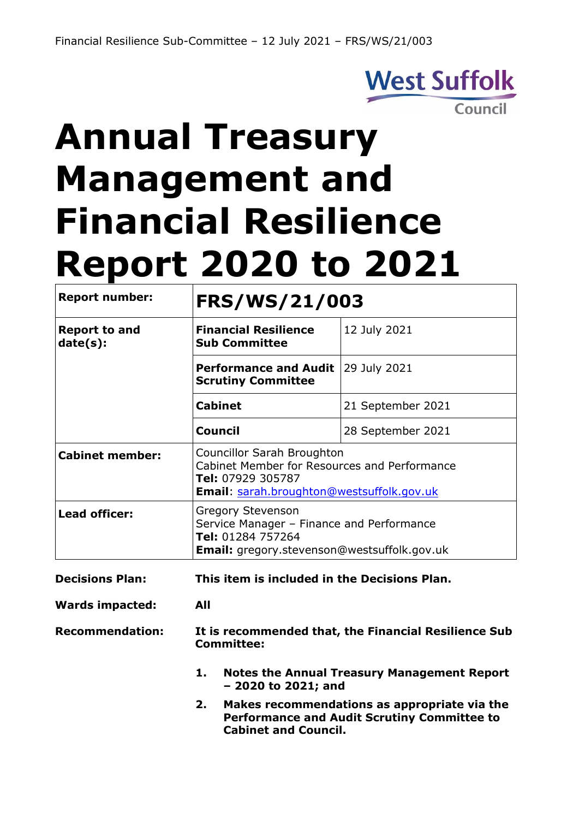## **West Suffolk** Council

# **Annual Treasury Management and Financial Resilience Report 2020 to 2021**

| <b>Report number:</b>            | FRS/WS/21/003                                                                                                                                       |                   |  |  |  |
|----------------------------------|-----------------------------------------------------------------------------------------------------------------------------------------------------|-------------------|--|--|--|
| <b>Report to and</b><br>date(s): | <b>Financial Resilience</b><br><b>Sub Committee</b>                                                                                                 | 12 July 2021      |  |  |  |
|                                  | <b>Performance and Audit</b><br><b>Scrutiny Committee</b>                                                                                           | 29 July 2021      |  |  |  |
|                                  | <b>Cabinet</b>                                                                                                                                      | 21 September 2021 |  |  |  |
|                                  | <b>Council</b>                                                                                                                                      | 28 September 2021 |  |  |  |
| <b>Cabinet member:</b>           | Councillor Sarah Broughton<br>Cabinet Member for Resources and Performance<br>Tel: 07929 305787<br><b>Email:</b> sarah.broughton@westsuffolk.gov.uk |                   |  |  |  |
| Lead officer:                    | <b>Gregory Stevenson</b><br>Service Manager - Finance and Performance<br>Tel: 01284 757264<br><b>Email:</b> gregory.stevenson@westsuffolk.gov.uk    |                   |  |  |  |

**Decisions Plan: This item is included in the Decisions Plan.** 

**Wards impacted: All**

**Recommendation: It is recommended that, the Financial Resilience Sub Committee:**

- **1. Notes the Annual Treasury Management Report – 2020 to 2021; and**
- **2. Makes recommendations as appropriate via the Performance and Audit Scrutiny Committee to Cabinet and Council.**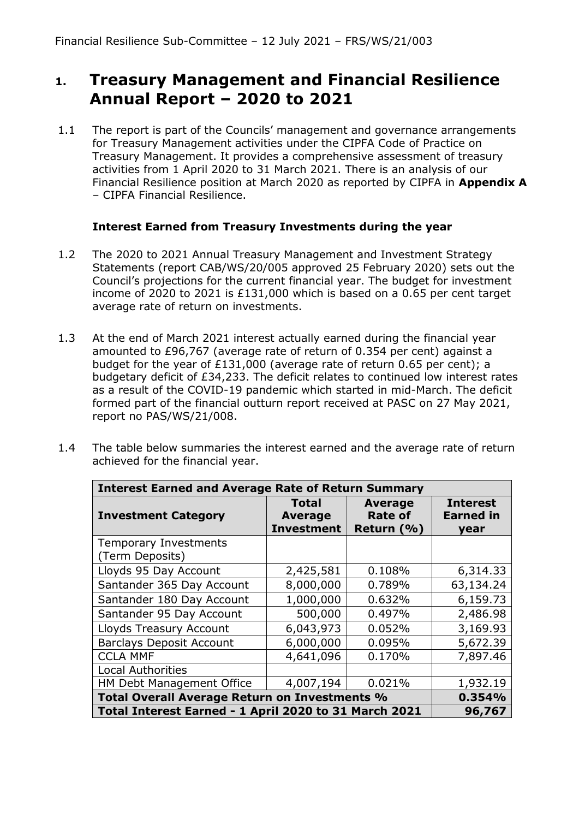#### **1. Treasury Management and Financial Resilience Annual Report – 2020 to 2021**

1.1 The report is part of the Councils' management and governance arrangements for Treasury Management activities under the CIPFA Code of Practice on Treasury Management. It provides a comprehensive assessment of treasury activities from 1 April 2020 to 31 March 2021. There is an analysis of our Financial Resilience position at March 2020 as reported by CIPFA in **Appendix A** – CIPFA Financial Resilience.

#### **Interest Earned from Treasury Investments during the year**

- 1.2 The 2020 to 2021 Annual Treasury Management and Investment Strategy Statements (report CAB/WS/20/005 approved 25 February 2020) sets out the Council's projections for the current financial year. The budget for investment income of 2020 to 2021 is £131,000 which is based on a 0.65 per cent target average rate of return on investments.
- 1.3 At the end of March 2021 interest actually earned during the financial year amounted to £96,767 (average rate of return of 0.354 per cent) against a budget for the year of £131,000 (average rate of return 0.65 per cent); a budgetary deficit of £34,233. The deficit relates to continued low interest rates as a result of the COVID-19 pandemic which started in mid-March. The deficit formed part of the financial outturn report received at PASC on 27 May 2021, report no PAS/WS/21/008.
- 1.4 The table below summaries the interest earned and the average rate of return achieved for the financial year.

| <b>Interest Earned and Average Rate of Return Summary</b> |                                              |                                                    |                                             |  |  |  |  |
|-----------------------------------------------------------|----------------------------------------------|----------------------------------------------------|---------------------------------------------|--|--|--|--|
| <b>Investment Category</b>                                | Total<br><b>Average</b><br><b>Investment</b> | <b>Average</b><br><b>Rate of</b><br>Return $(\% )$ | <b>Interest</b><br><b>Earned in</b><br>vear |  |  |  |  |
| <b>Temporary Investments</b><br>(Term Deposits)           |                                              |                                                    |                                             |  |  |  |  |
| Lloyds 95 Day Account                                     | 2,425,581                                    | 0.108%                                             | 6,314.33                                    |  |  |  |  |
| Santander 365 Day Account                                 | 8,000,000                                    | 0.789%                                             | 63,134.24                                   |  |  |  |  |
| Santander 180 Day Account                                 | 1,000,000                                    | 0.632%                                             | 6,159.73                                    |  |  |  |  |
| Santander 95 Day Account                                  | 500,000                                      | 0.497%                                             | 2,486.98                                    |  |  |  |  |
| Lloyds Treasury Account                                   | 6,043,973                                    | 0.052%                                             | 3,169.93                                    |  |  |  |  |
| <b>Barclays Deposit Account</b>                           | 6,000,000                                    | 0.095%                                             | 5,672.39                                    |  |  |  |  |
| <b>CCLA MMF</b>                                           | 4,641,096                                    | 0.170%                                             | 7,897.46                                    |  |  |  |  |
| <b>Local Authorities</b>                                  |                                              |                                                    |                                             |  |  |  |  |
| HM Debt Management Office                                 | 4,007,194                                    | 0.021%                                             | 1,932.19                                    |  |  |  |  |
| Total Overall Average Return on Investments %             | 0.354%                                       |                                                    |                                             |  |  |  |  |
| Total Interest Earned - 1 April 2020 to 31 March 2021     |                                              |                                                    | 96,767                                      |  |  |  |  |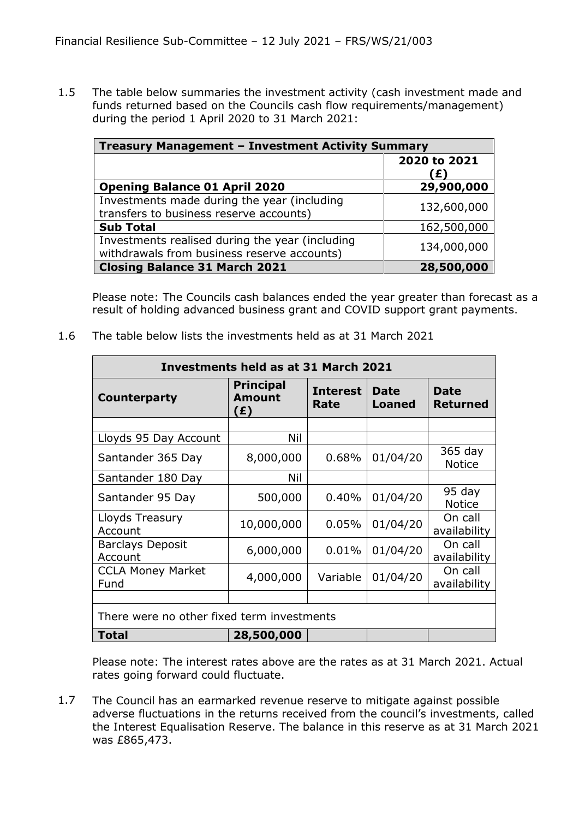1.5 The table below summaries the investment activity (cash investment made and funds returned based on the Councils cash flow requirements/management) during the period 1 April 2020 to 31 March 2021:

| Treasury Management - Investment Activity Summary |                    |  |  |  |
|---------------------------------------------------|--------------------|--|--|--|
|                                                   | 2020 to 2021<br>E) |  |  |  |
| <b>Opening Balance 01 April 2020</b>              | 29,900,000         |  |  |  |
| Investments made during the year (including       | 132,600,000        |  |  |  |
| transfers to business reserve accounts)           |                    |  |  |  |
| <b>Sub Total</b>                                  | 162,500,000        |  |  |  |
| Investments realised during the year (including   | 134,000,000        |  |  |  |
| withdrawals from business reserve accounts)       |                    |  |  |  |
| <b>Closing Balance 31 March 2021</b>              | 28,500,000         |  |  |  |

Please note: The Councils cash balances ended the year greater than forecast as a result of holding advanced business grant and COVID support grant payments.

1.6 The table below lists the investments held as at 31 March 2021

| Investments held as at 31 March 2021       |                                          |                         |                       |                                |  |  |  |
|--------------------------------------------|------------------------------------------|-------------------------|-----------------------|--------------------------------|--|--|--|
| <b>Counterparty</b>                        | <b>Principal</b><br><b>Amount</b><br>(£) | <b>Interest</b><br>Rate | Date<br><b>Loaned</b> | <b>Date</b><br><b>Returned</b> |  |  |  |
|                                            |                                          |                         |                       |                                |  |  |  |
| Lloyds 95 Day Account                      | Nil                                      |                         |                       |                                |  |  |  |
| Santander 365 Day                          | 8,000,000                                | 0.68%                   | 01/04/20              | $365$ day<br><b>Notice</b>     |  |  |  |
| Santander 180 Day                          | Nil                                      |                         |                       |                                |  |  |  |
| Santander 95 Day                           | 500,000                                  | 0.40%                   | 01/04/20              | 95 day<br><b>Notice</b>        |  |  |  |
| Lloyds Treasury<br>Account                 | 10,000,000                               | 0.05%                   | 01/04/20              | On call<br>availability        |  |  |  |
| <b>Barclays Deposit</b><br>Account         | 6,000,000                                | 0.01%                   | 01/04/20              | On call<br>availability        |  |  |  |
| <b>CCLA Money Market</b><br>Fund           | 4,000,000                                | Variable                | 01/04/20              | On call<br>availability        |  |  |  |
|                                            |                                          |                         |                       |                                |  |  |  |
| There were no other fixed term investments |                                          |                         |                       |                                |  |  |  |
| Total                                      | 28,500,000                               |                         |                       |                                |  |  |  |

Please note: The interest rates above are the rates as at 31 March 2021. Actual rates going forward could fluctuate.

1.7 The Council has an earmarked revenue reserve to mitigate against possible adverse fluctuations in the returns received from the council's investments, called the Interest Equalisation Reserve. The balance in this reserve as at 31 March 2021 was £865,473.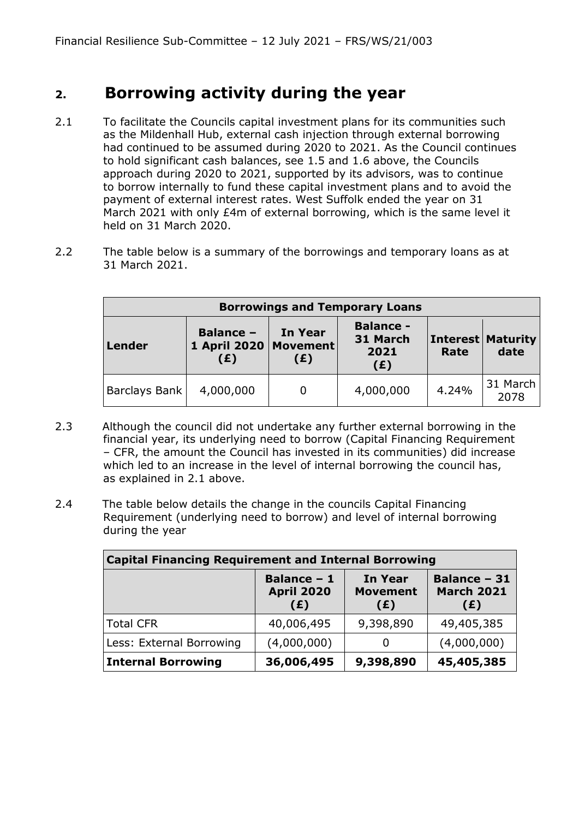#### **2. Borrowing activity during the year**

- 2.1 To facilitate the Councils capital investment plans for its communities such as the Mildenhall Hub, external cash injection through external borrowing had continued to be assumed during 2020 to 2021. As the Council continues to hold significant cash balances, see 1.5 and 1.6 above, the Councils approach during 2020 to 2021, supported by its advisors, was to continue to borrow internally to fund these capital investment plans and to avoid the payment of external interest rates. West Suffolk ended the year on 31 March 2021 with only £4m of external borrowing, which is the same level it held on 31 March 2020.
- 2.2 The table below is a summary of the borrowings and temporary loans as at 31 March 2021.

| <b>Borrowings and Temporary Loans</b> |                                                    |                                             |           |                                    |                  |  |  |
|---------------------------------------|----------------------------------------------------|---------------------------------------------|-----------|------------------------------------|------------------|--|--|
| <b>Lender</b>                         | <b>Balance -</b><br>1 April 2020   Movement<br>(E) | <b>Balance -</b><br>31 March<br>2021<br>(E) | Rate      | <b>Interest   Maturity</b><br>date |                  |  |  |
| Barclays Bank                         | 4,000,000                                          | 0                                           | 4,000,000 | 4.24%                              | 31 March<br>2078 |  |  |

- 2.3 Although the council did not undertake any further external borrowing in the financial year, its underlying need to borrow (Capital Financing Requirement – CFR, the amount the Council has invested in its communities) did increase which led to an increase in the level of internal borrowing the council has, as explained in 2.1 above.
- 2.4 The table below details the change in the councils Capital Financing Requirement (underlying need to borrow) and level of internal borrowing during the year

| <b>Capital Financing Requirement and Internal Borrowing</b>        |                                                |                                          |                                                 |  |  |  |  |
|--------------------------------------------------------------------|------------------------------------------------|------------------------------------------|-------------------------------------------------|--|--|--|--|
|                                                                    | <b>Balance - 1</b><br><b>April 2020</b><br>(E) | <b>In Year</b><br><b>Movement</b><br>(£) | <b>Balance - 31</b><br><b>March 2021</b><br>(E) |  |  |  |  |
| Total CFR                                                          | 40,006,495                                     | 9,398,890                                | 49,405,385                                      |  |  |  |  |
| Less: External Borrowing                                           | (4,000,000)                                    | O                                        | (4,000,000)                                     |  |  |  |  |
| 9,398,890<br>45,405,385<br><b>Internal Borrowing</b><br>36,006,495 |                                                |                                          |                                                 |  |  |  |  |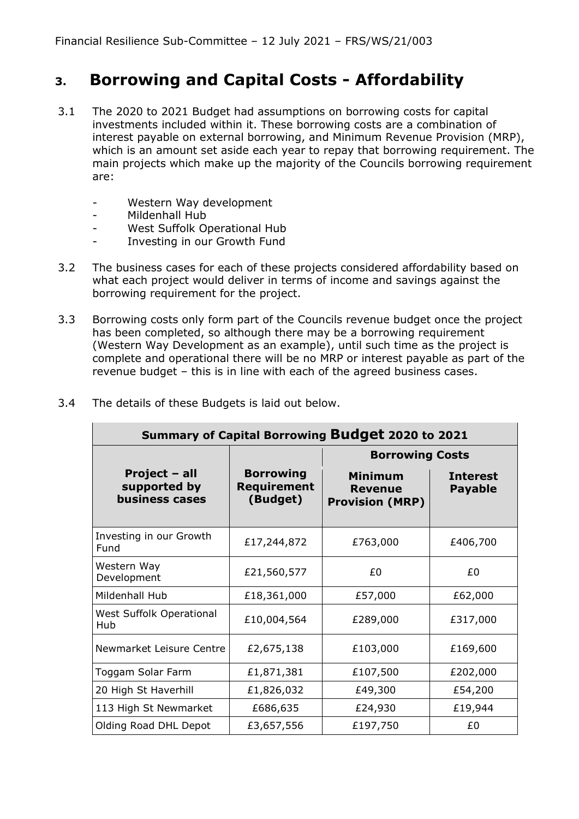#### **3. Borrowing and Capital Costs - Affordability**

- 3.1 The 2020 to 2021 Budget had assumptions on borrowing costs for capital investments included within it. These borrowing costs are a combination of interest payable on external borrowing, and Minimum Revenue Provision (MRP), which is an amount set aside each year to repay that borrowing requirement. The main projects which make up the majority of the Councils borrowing requirement are:
	- Western Way development
	- Mildenhall Hub
	- West Suffolk Operational Hub
	- Investing in our Growth Fund
- 3.2 The business cases for each of these projects considered affordability based on what each project would deliver in terms of income and savings against the borrowing requirement for the project.
- 3.3 Borrowing costs only form part of the Councils revenue budget once the project has been completed, so although there may be a borrowing requirement (Western Way Development as an example), until such time as the project is complete and operational there will be no MRP or interest payable as part of the revenue budget – this is in line with each of the agreed business cases.

| Summary of Capital Borrowing Budget 2020 to 2021       |                                                    |                                                            |                                   |  |  |  |  |  |
|--------------------------------------------------------|----------------------------------------------------|------------------------------------------------------------|-----------------------------------|--|--|--|--|--|
|                                                        |                                                    | <b>Borrowing Costs</b>                                     |                                   |  |  |  |  |  |
| Project - all<br>supported by<br><b>business cases</b> | <b>Borrowing</b><br><b>Requirement</b><br>(Budget) | <b>Minimum</b><br><b>Revenue</b><br><b>Provision (MRP)</b> | <b>Interest</b><br><b>Payable</b> |  |  |  |  |  |
| Investing in our Growth<br>Fund                        | £17,244,872                                        | £763,000                                                   | £406,700                          |  |  |  |  |  |
| Western Way<br>Development                             | £21,560,577                                        | £0                                                         | £0                                |  |  |  |  |  |
| Mildenhall Hub                                         | £18,361,000                                        | £57,000                                                    | £62,000                           |  |  |  |  |  |
| West Suffolk Operational<br>Hub                        | £10,004,564                                        | £289,000                                                   | £317,000                          |  |  |  |  |  |
| Newmarket Leisure Centre                               | £2,675,138                                         | £103,000                                                   | £169,600                          |  |  |  |  |  |
| Toggam Solar Farm                                      | £1,871,381                                         | £107,500                                                   | £202,000                          |  |  |  |  |  |
| 20 High St Haverhill                                   | £1,826,032                                         | £49,300                                                    | £54,200                           |  |  |  |  |  |
| 113 High St Newmarket                                  | £686,635                                           | £24,930                                                    | £19,944                           |  |  |  |  |  |
| Olding Road DHL Depot                                  | £3,657,556                                         | £197,750                                                   | £0                                |  |  |  |  |  |

3.4 The details of these Budgets is laid out below.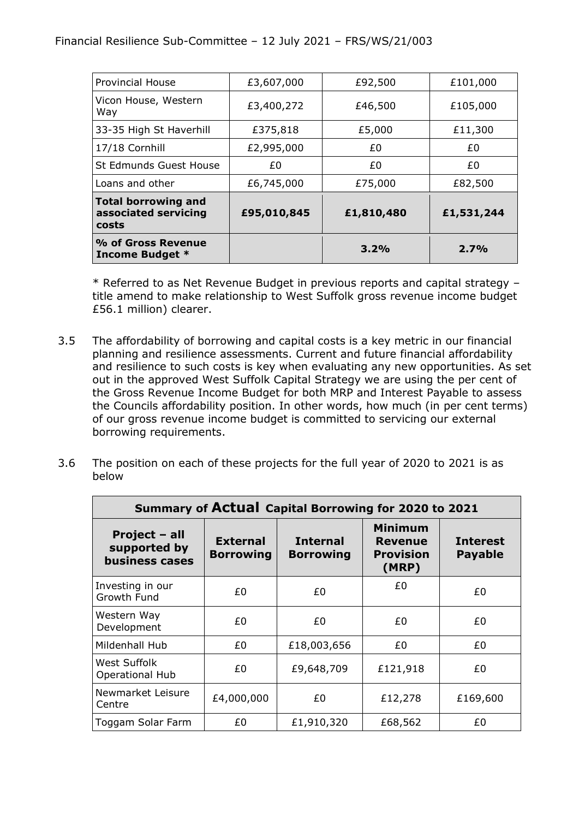| <b>Provincial House</b>                              | £3,607,000  | £92,500    | £101,000   |
|------------------------------------------------------|-------------|------------|------------|
| Vicon House, Western<br>Way                          | £3,400,272  | £46,500    | £105,000   |
| 33-35 High St Haverhill                              | £375,818    | £5,000     | £11,300    |
| 17/18 Cornhill                                       | £2,995,000  | £0         | £0         |
| St Edmunds Guest House                               | £0          | £0         | £0         |
| Loans and other                                      | £6,745,000  | £75,000    | £82,500    |
| Total borrowing and<br>associated servicing<br>costs | £95,010,845 | £1,810,480 | £1,531,244 |
| % of Gross Revenue<br><b>Income Budget *</b>         |             | 3.2%       | 2.7%       |

\* Referred to as Net Revenue Budget in previous reports and capital strategy – title amend to make relationship to West Suffolk gross revenue income budget £56.1 million) clearer.

- 3.5 The affordability of borrowing and capital costs is a key metric in our financial planning and resilience assessments. Current and future financial affordability and resilience to such costs is key when evaluating any new opportunities. As set out in the approved West Suffolk Capital Strategy we are using the per cent of the Gross Revenue Income Budget for both MRP and Interest Payable to assess the Councils affordability position. In other words, how much (in per cent terms) of our gross revenue income budget is committed to servicing our external borrowing requirements.
- 3.6 The position on each of these projects for the full year of 2020 to 2021 is as below

| Summary of Actual Capital Borrowing for 2020 to 2021   |                                     |                                     |                                                 |                                   |  |  |  |
|--------------------------------------------------------|-------------------------------------|-------------------------------------|-------------------------------------------------|-----------------------------------|--|--|--|
| Project - all<br>supported by<br><b>business cases</b> | <b>External</b><br><b>Borrowing</b> | <b>Internal</b><br><b>Borrowing</b> | Minimum<br>Revenue<br><b>Provision</b><br>(MRP) | <b>Interest</b><br><b>Payable</b> |  |  |  |
| Investing in our<br>Growth Fund                        | £0                                  | £0                                  | £0                                              | £0                                |  |  |  |
| Western Way<br>Development                             | £0                                  | £0                                  | £0                                              | £0                                |  |  |  |
| Mildenhall Hub                                         | £0.                                 | £18,003,656                         | £0.                                             | £0.                               |  |  |  |
| West Suffolk<br><b>Operational Hub</b>                 | £0                                  | £9,648,709                          | £121,918                                        | £0                                |  |  |  |
| Newmarket Leisure<br>Centre                            | £4,000,000                          | £0.                                 | £12,278                                         | £169,600                          |  |  |  |
| Toggam Solar Farm                                      | £0.                                 | £1,910,320                          | £68,562                                         | £0                                |  |  |  |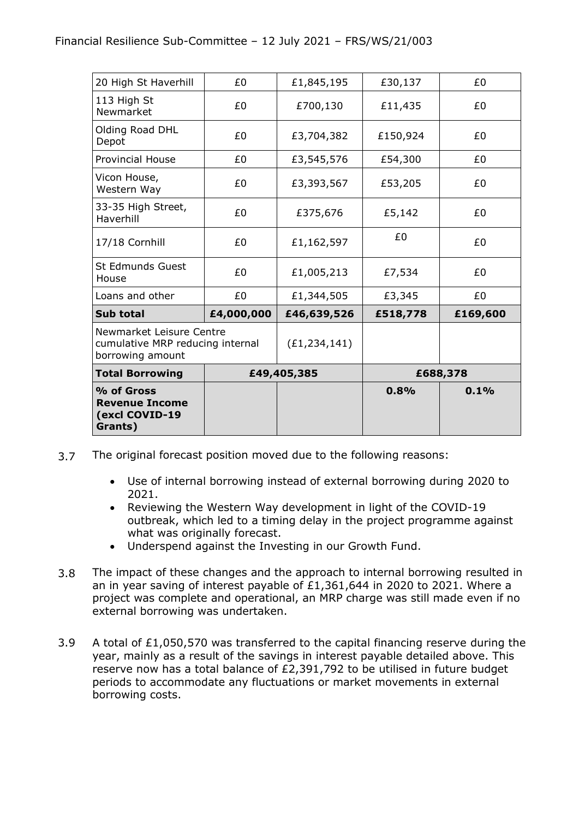| % of Gross<br><b>Revenue Income</b><br>(excl COVID-19<br>Grants)                 |            |                | 0.8%     | 0.1%     |  |
|----------------------------------------------------------------------------------|------------|----------------|----------|----------|--|
| <b>Total Borrowing</b>                                                           |            | £49,405,385    |          | £688,378 |  |
| Newmarket Leisure Centre<br>cumulative MRP reducing internal<br>borrowing amount |            | (E1, 234, 141) |          |          |  |
| Sub total                                                                        | £4,000,000 | £46,639,526    | £518,778 | £169,600 |  |
| Loans and other                                                                  | £0         | £1,344,505     | £3,345   | £0       |  |
| <b>St Edmunds Guest</b><br>House                                                 | £0         | £1,005,213     | £7,534   | £0       |  |
| 17/18 Cornhill                                                                   | £0         | £1,162,597     | £0       | £0       |  |
| 33-35 High Street,<br>Haverhill                                                  | £0         | £375,676       | £5,142   | £0       |  |
| Vicon House,<br>Western Way                                                      | £0         | £3,393,567     | £53,205  | £0       |  |
| <b>Provincial House</b>                                                          | £0         | £3,545,576     | £54,300  | £0       |  |
| Olding Road DHL<br>Depot                                                         | £0         | £3,704,382     | £150,924 | £0       |  |
| 113 High St<br>Newmarket                                                         | £0         | £700,130       | £11,435  | £0       |  |
| 20 High St Haverhill                                                             | £0         | £1,845,195     | £30,137  | £0       |  |

- 3.7 The original forecast position moved due to the following reasons:
	- Use of internal borrowing instead of external borrowing during 2020 to 2021.
	- Reviewing the Western Way development in light of the COVID-19 outbreak, which led to a timing delay in the project programme against what was originally forecast.
	- Underspend against the Investing in our Growth Fund.
- 3.8 The impact of these changes and the approach to internal borrowing resulted in an in year saving of interest payable of £1,361,644 in 2020 to 2021. Where a project was complete and operational, an MRP charge was still made even if no external borrowing was undertaken.
- 3.9 A total of £1,050,570 was transferred to the capital financing reserve during the year, mainly as a result of the savings in interest payable detailed above. This reserve now has a total balance of £2,391,792 to be utilised in future budget periods to accommodate any fluctuations or market movements in external borrowing costs.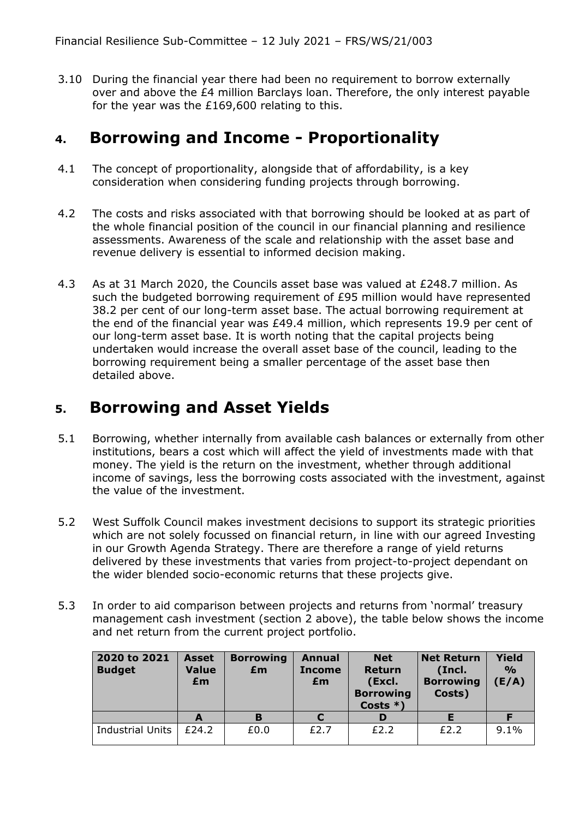3.10 During the financial year there had been no requirement to borrow externally over and above the £4 million Barclays loan. Therefore, the only interest payable for the year was the £169,600 relating to this.

#### **4. Borrowing and Income - Proportionality**

- 4.1 The concept of proportionality, alongside that of affordability, is a key consideration when considering funding projects through borrowing.
- 4.2 The costs and risks associated with that borrowing should be looked at as part of the whole financial position of the council in our financial planning and resilience assessments. Awareness of the scale and relationship with the asset base and revenue delivery is essential to informed decision making.
- 4.3 As at 31 March 2020, the Councils asset base was valued at £248.7 million. As such the budgeted borrowing requirement of £95 million would have represented 38.2 per cent of our long-term asset base. The actual borrowing requirement at the end of the financial year was £49.4 million, which represents 19.9 per cent of our long-term asset base. It is worth noting that the capital projects being undertaken would increase the overall asset base of the council, leading to the borrowing requirement being a smaller percentage of the asset base then detailed above.

#### **5. Borrowing and Asset Yields**

- 5.1 Borrowing, whether internally from available cash balances or externally from other institutions, bears a cost which will affect the yield of investments made with that money. The yield is the return on the investment, whether through additional income of savings, less the borrowing costs associated with the investment, against the value of the investment.
- 5.2 West Suffolk Council makes investment decisions to support its strategic priorities which are not solely focussed on financial return, in line with our agreed Investing in our Growth Agenda Strategy. There are therefore a range of yield returns delivered by these investments that varies from project-to-project dependant on the wider blended socio-economic returns that these projects give.
- 5.3 In order to aid comparison between projects and returns from 'normal' treasury management cash investment (section 2 above), the table below shows the income and net return from the current project portfolio.

| 2020 to 2021<br><b>Budget</b> | <b>Asset</b><br><b>Value</b><br>£m | <b>Borrowing</b><br>£m | <b>Annual</b><br><b>Income</b><br>£m | <b>Net</b><br>Return<br>(Excl.<br><b>Borrowing</b><br>Costs $*$ ) | <b>Net Return</b><br>(Incl.<br><b>Borrowing</b><br>Costs) | Yield<br>$\frac{O}{O}$<br>E/A |
|-------------------------------|------------------------------------|------------------------|--------------------------------------|-------------------------------------------------------------------|-----------------------------------------------------------|-------------------------------|
|                               |                                    | в                      |                                      |                                                                   |                                                           |                               |
| <b>Industrial Units</b>       | £24.2                              | £0.0                   | £2.7                                 | £2.2                                                              | f2.2                                                      | 9.1%                          |